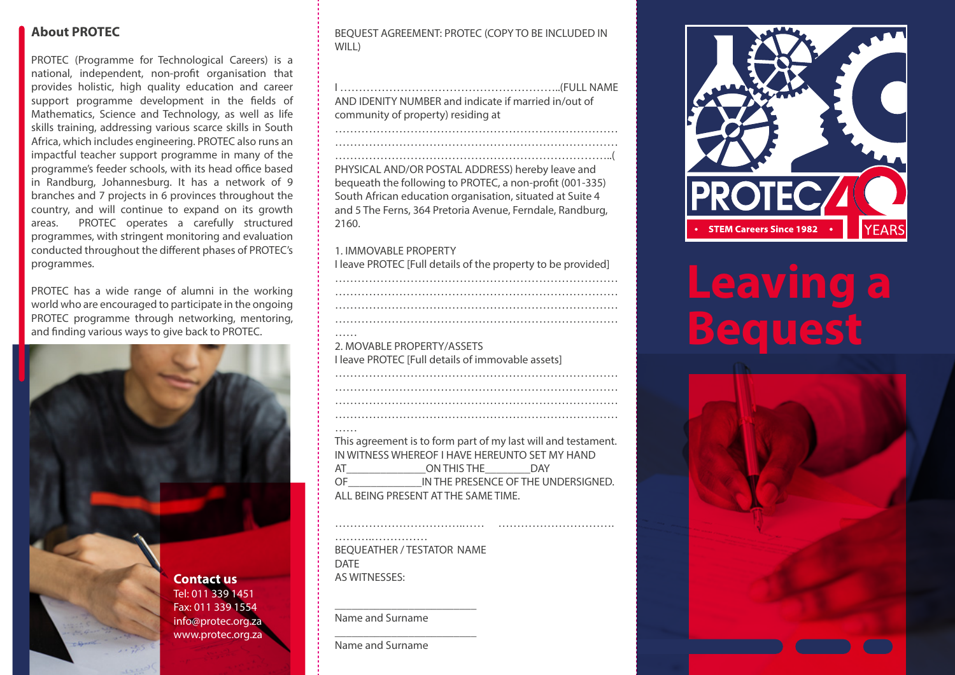# **About PROTEC**

PROTEC (Programme for Technological Careers) is a national, independent, non-profit organisation that provides holistic, high quality education and career support programme development in the fields of Mathematics, Science and Technology, as well as life skills training, addressing various scarce skills in South Africa, which includes engineering. PROTEC also runs an impactful teacher support programme in many of the programme's feeder schools, with its head office based in Randburg, Johannesburg. It has a network of 9 branches and 7 projects in 6 provinces throughout the country, and will continue to expand on its growth areas. PROTEC operates a carefully structured programmes, with stringent monitoring and evaluation conducted throughout the different phases of PROTEC's programmes.

PROTEC has a wide range of alumni in the working world who are encouraged to participate in the ongoing PROTEC programme through networking, mentoring, and finding various ways to give back to PROTEC.



BEQUEST AGREEMENT: PROTEC (COPY TO BE INCLUDED IN WILL)

I …………………………………………………..(FULL NAME AND IDENITY NUMBER and indicate if married in/out of community of property) residing at

…………………………………………………………………

…………………………………………………………………

………………………………………………………………..( PHYSICAL AND/OR POSTAL ADDRESS) hereby leave and bequeath the following to PROTEC, a non-profit (001-335) South African education organisation, situated at Suite 4 and 5 The Ferns, 364 Pretoria Avenue, Ferndale, Randburg, 2160.

#### 1. IMMOVABLE PROPERTY

I leave PROTEC [Full details of the property to be provided]

………………………………………………………………… ………………………………………………………………… ………………………………………………………………… …… 2. MOVABLE PROPERTY/ASSETS I leave PROTEC [Full details of immovable assets]

………………………………………………………………… ………………………………………………………………… …………………………………………………………………

#### ……

This agreement is to form part of my last will and testament. IN WITNESS WHEREOF I HAVE HEREUNTO SET MY HAND AT ON THIS THE DAY OF THE PRESENCE OF THE UNDERSIGNED. ALL BEING PRESENT AT THE SAME TIME.

…………………………….…… ………………………….

……….…………… BEQUEATHER / TESTATOR NAME DATE AS WITNESSES:

\_\_\_\_\_\_\_\_\_\_\_\_\_\_\_\_\_\_\_\_\_\_\_\_\_

\_\_\_\_\_\_\_\_\_\_\_\_\_\_\_\_\_\_\_\_\_\_\_\_\_

Name and Surname

Name and Surname



# **Leaving a Bequest**